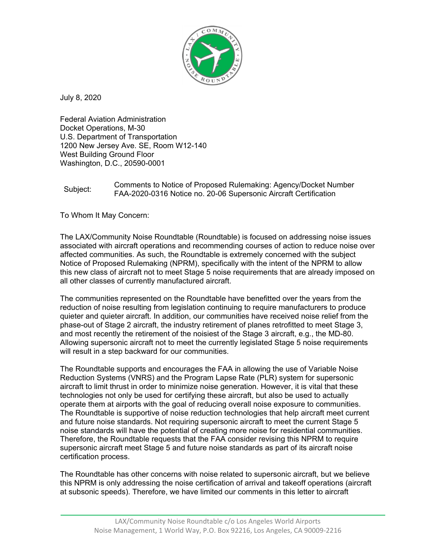

July 8, 2020

Federal Aviation Administration Docket Operations, M-30 U.S. Department of Transportation 1200 New Jersey Ave. SE, Room W12-140 West Building Ground Floor Washington, D.C., 20590-0001

## Subject: Comments to Notice of Proposed Rulemaking: Agency/Docket Number<br>
FAA 2000 2010 N.U. 2000 2010 N.U. FAA-2020-0316 Notice no. 20-06 Supersonic Aircraft Certification

To Whom It May Concern:

The LAX/Community Noise Roundtable (Roundtable) is focused on addressing noise issues associated with aircraft operations and recommending courses of action to reduce noise over affected communities. As such, the Roundtable is extremely concerned with the subject Notice of Proposed Rulemaking (NPRM), specifically with the intent of the NPRM to allow this new class of aircraft not to meet Stage 5 noise requirements that are already imposed on all other classes of currently manufactured aircraft.

The communities represented on the Roundtable have benefitted over the years from the reduction of noise resulting from legislation continuing to require manufacturers to produce quieter and quieter aircraft. In addition, our communities have received noise relief from the phase-out of Stage 2 aircraft, the industry retirement of planes retrofitted to meet Stage 3, and most recently the retirement of the noisiest of the Stage 3 aircraft, e.g., the MD-80. Allowing supersonic aircraft not to meet the currently legislated Stage 5 noise requirements will result in a step backward for our communities.

The Roundtable supports and encourages the FAA in allowing the use of Variable Noise Reduction Systems (VNRS) and the Program Lapse Rate (PLR) system for supersonic aircraft to limit thrust in order to minimize noise generation. However, it is vital that these technologies not only be used for certifying these aircraft, but also be used to actually operate them at airports with the goal of reducing overall noise exposure to communities. The Roundtable is supportive of noise reduction technologies that help aircraft meet current and future noise standards. Not requiring supersonic aircraft to meet the current Stage 5 noise standards will have the potential of creating more noise for residential communities. Therefore, the Roundtable requests that the FAA consider revising this NPRM to require supersonic aircraft meet Stage 5 and future noise standards as part of its aircraft noise certification process.

The Roundtable has other concerns with noise related to supersonic aircraft, but we believe this NPRM is only addressing the noise certification of arrival and takeoff operations (aircraft at subsonic speeds). Therefore, we have limited our comments in this letter to aircraft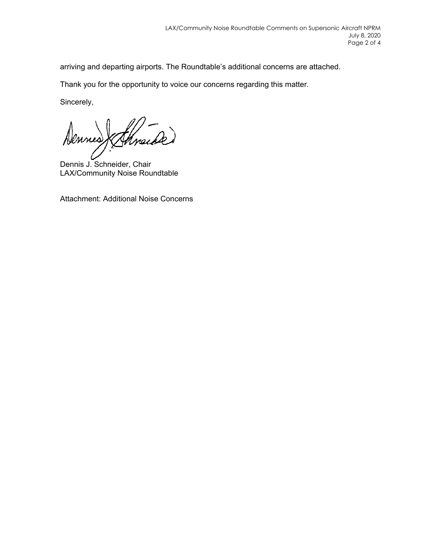arriving and departing airports. The Roundtable's additional concerns are attached.

Thank you for the opportunity to voice our concerns regarding this matter.

Sincerely,

Dennes thracked

Dennis J. Schneider, Chair LAX/Community Noise Roundtable

Attachment: Additional Noise Concerns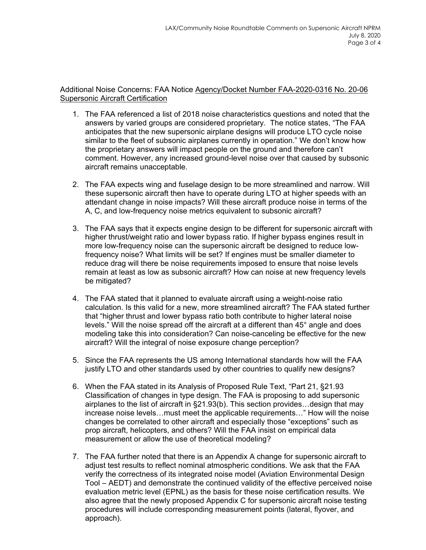Additional Noise Concerns: FAA Notice Agency/Docket Number FAA-2020-0316 No. 20-06 Supersonic Aircraft Certification

- 1. The FAA referenced a list of 2018 noise characteristics questions and noted that the answers by varied groups are considered proprietary. The notice states, "The FAA anticipates that the new supersonic airplane designs will produce LTO cycle noise similar to the fleet of subsonic airplanes currently in operation." We don't know how the proprietary answers will impact people on the ground and therefore can't comment. However, any increased ground-level noise over that caused by subsonic aircraft remains unacceptable.
- 2. The FAA expects wing and fuselage design to be more streamlined and narrow. Will these supersonic aircraft then have to operate during LTO at higher speeds with an attendant change in noise impacts? Will these aircraft produce noise in terms of the A, C, and low-frequency noise metrics equivalent to subsonic aircraft?
- 3. The FAA says that it expects engine design to be different for supersonic aircraft with higher thrust/weight ratio and lower bypass ratio. If higher bypass engines result in more low-frequency noise can the supersonic aircraft be designed to reduce lowfrequency noise? What limits will be set? If engines must be smaller diameter to reduce drag will there be noise requirements imposed to ensure that noise levels remain at least as low as subsonic aircraft? How can noise at new frequency levels be mitigated?
- 4. The FAA stated that it planned to evaluate aircraft using a weight-noise ratio calculation. Is this valid for a new, more streamlined aircraft? The FAA stated further that "higher thrust and lower bypass ratio both contribute to higher lateral noise levels." Will the noise spread off the aircraft at a different than 45° angle and does modeling take this into consideration? Can noise-canceling be effective for the new aircraft? Will the integral of noise exposure change perception?
- 5. Since the FAA represents the US among International standards how will the FAA justify LTO and other standards used by other countries to qualify new designs?
- 6. When the FAA stated in its Analysis of Proposed Rule Text, "Part 21, §21.93 Classification of changes in type design. The FAA is proposing to add supersonic airplanes to the list of aircraft in §21.93(b). This section provides…design that may increase noise levels…must meet the applicable requirements…" How will the noise changes be correlated to other aircraft and especially those "exceptions" such as prop aircraft, helicopters, and others? Will the FAA insist on empirical data measurement or allow the use of theoretical modeling?
- 7. The FAA further noted that there is an Appendix A change for supersonic aircraft to adjust test results to reflect nominal atmospheric conditions. We ask that the FAA verify the correctness of its integrated noise model (Aviation Environmental Design Tool – AEDT) and demonstrate the continued validity of the effective perceived noise evaluation metric level (EPNL) as the basis for these noise certification results. We also agree that the newly proposed Appendix C for supersonic aircraft noise testing procedures will include corresponding measurement points (lateral, flyover, and approach).